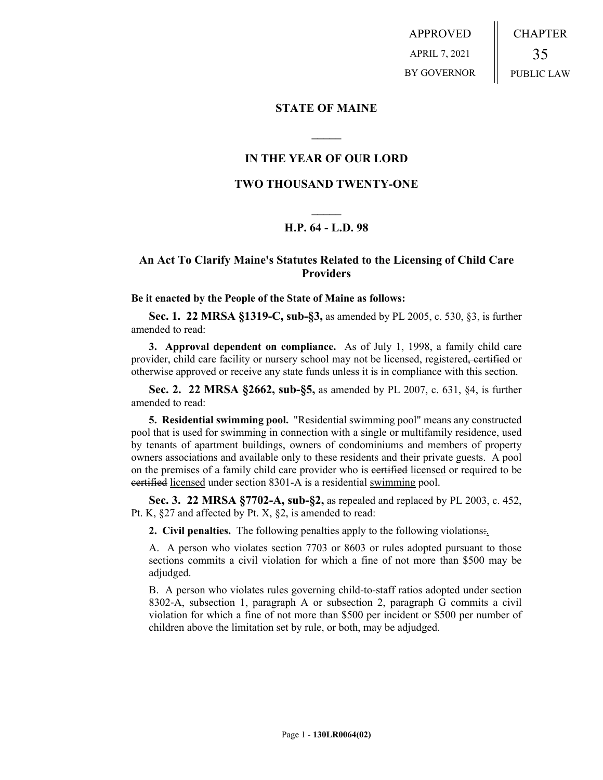APPROVED APRIL 7, 2021 BY GOVERNOR CHAPTER 35 PUBLIC LAW

### **STATE OF MAINE**

# **IN THE YEAR OF OUR LORD**

**\_\_\_\_\_**

# **TWO THOUSAND TWENTY-ONE**

# **\_\_\_\_\_ H.P. 64 - L.D. 98**

# **An Act To Clarify Maine's Statutes Related to the Licensing of Child Care Providers**

#### **Be it enacted by the People of the State of Maine as follows:**

**Sec. 1. 22 MRSA §1319-C, sub-§3,** as amended by PL 2005, c. 530, §3, is further amended to read:

**3. Approval dependent on compliance.** As of July 1, 1998, a family child care provider, child care facility or nursery school may not be licensed, registered, certified or otherwise approved or receive any state funds unless it is in compliance with this section.

**Sec. 2. 22 MRSA §2662, sub-§5,** as amended by PL 2007, c. 631, §4, is further amended to read:

**5. Residential swimming pool.** "Residential swimming pool" means any constructed pool that is used for swimming in connection with a single or multifamily residence, used by tenants of apartment buildings, owners of condominiums and members of property owners associations and available only to these residents and their private guests. A pool on the premises of a family child care provider who is certified licensed or required to be certified licensed under section 8301-A is a residential swimming pool.

**Sec. 3. 22 MRSA §7702-A, sub-§2,** as repealed and replaced by PL 2003, c. 452, Pt. K, §27 and affected by Pt. X, §2, is amended to read:

**2. Civil penalties.** The following penalties apply to the following violations:.

A. A person who violates section 7703 or 8603 or rules adopted pursuant to those sections commits a civil violation for which a fine of not more than \$500 may be adjudged.

B. A person who violates rules governing child-to-staff ratios adopted under section 8302‑A, subsection 1, paragraph A or subsection 2, paragraph G commits a civil violation for which a fine of not more than \$500 per incident or \$500 per number of children above the limitation set by rule, or both, may be adjudged.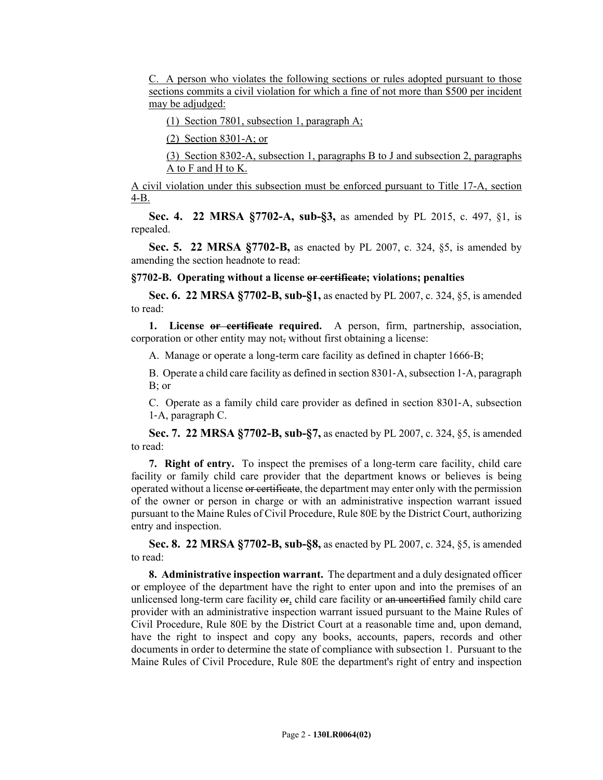C. A person who violates the following sections or rules adopted pursuant to those sections commits a civil violation for which a fine of not more than \$500 per incident may be adjudged:

(1) Section 7801, subsection 1, paragraph A;

(2) Section 8301-A; or

(3) Section 8302-A, subsection 1, paragraphs B to J and subsection 2, paragraphs A to F and H to K.

A civil violation under this subsection must be enforced pursuant to Title 17-A, section 4-B.

**Sec. 4. 22 MRSA §7702-A, sub-§3,** as amended by PL 2015, c. 497, §1, is repealed.

**Sec. 5. 22 MRSA §7702-B,** as enacted by PL 2007, c. 324, §5, is amended by amending the section headnote to read:

#### **§7702-B. Operating without a license or certificate; violations; penalties**

**Sec. 6. 22 MRSA §7702-B, sub-§1,** as enacted by PL 2007, c. 324, §5, is amended to read:

**1. License or certificate required.** A person, firm, partnership, association, corporation or other entity may not, without first obtaining a license:

A. Manage or operate a long-term care facility as defined in chapter 1666‑B;

B. Operate a child care facility as defined in section 8301‑A, subsection 1‑A, paragraph B; or

C. Operate as a family child care provider as defined in section 8301‑A, subsection 1‑A, paragraph C.

**Sec. 7. 22 MRSA §7702-B, sub-§7,** as enacted by PL 2007, c. 324, §5, is amended to read:

**7. Right of entry.** To inspect the premises of a long-term care facility, child care facility or family child care provider that the department knows or believes is being operated without a license or certificate, the department may enter only with the permission of the owner or person in charge or with an administrative inspection warrant issued pursuant to the Maine Rules of Civil Procedure, Rule 80E by the District Court, authorizing entry and inspection.

**Sec. 8. 22 MRSA §7702-B, sub-§8,** as enacted by PL 2007, c. 324, §5, is amended to read:

**8. Administrative inspection warrant.** The department and a duly designated officer or employee of the department have the right to enter upon and into the premises of an unlicensed long-term care facility or, child care facility or an uncertified family child care provider with an administrative inspection warrant issued pursuant to the Maine Rules of Civil Procedure, Rule 80E by the District Court at a reasonable time and, upon demand, have the right to inspect and copy any books, accounts, papers, records and other documents in order to determine the state of compliance with subsection 1. Pursuant to the Maine Rules of Civil Procedure, Rule 80E the department's right of entry and inspection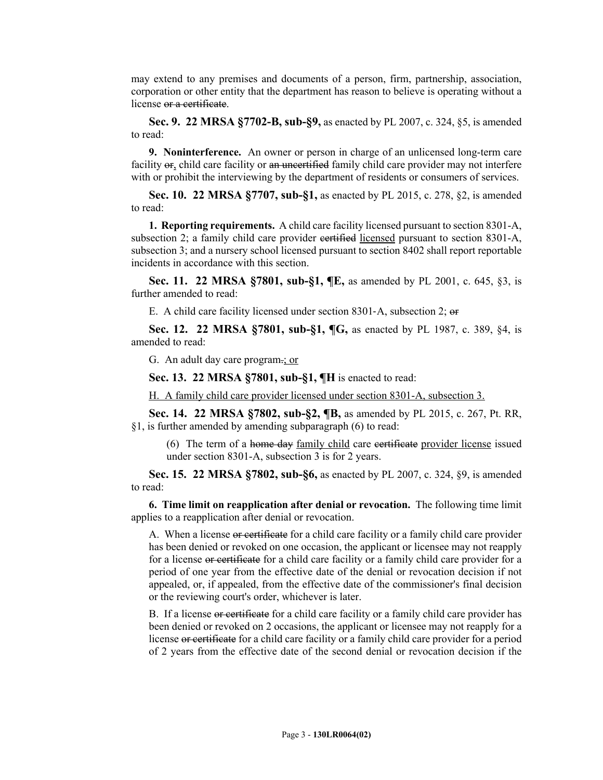may extend to any premises and documents of a person, firm, partnership, association, corporation or other entity that the department has reason to believe is operating without a license or a certificate.

**Sec. 9. 22 MRSA §7702-B, sub-§9,** as enacted by PL 2007, c. 324, §5, is amended to read:

**9. Noninterference.** An owner or person in charge of an unlicensed long-term care facility or, child care facility or an uncertified family child care provider may not interfere with or prohibit the interviewing by the department of residents or consumers of services.

**Sec. 10. 22 MRSA §7707, sub-§1,** as enacted by PL 2015, c. 278, §2, is amended to read:

**1. Reporting requirements.** A child care facility licensed pursuant to section 8301-A, subsection 2; a family child care provider eertified licensed pursuant to section 8301-A, subsection 3; and a nursery school licensed pursuant to section 8402 shall report reportable incidents in accordance with this section.

**Sec. 11. 22 MRSA §7801, sub-§1, ¶E,** as amended by PL 2001, c. 645, §3, is further amended to read:

E. A child care facility licensed under section 8301‑A, subsection 2; or

**Sec. 12. 22 MRSA §7801, sub-§1, ¶G,** as enacted by PL 1987, c. 389, §4, is amended to read:

G. An adult day care program.; or

**Sec. 13. 22 MRSA §7801, sub-§1, ¶H** is enacted to read:

H. A family child care provider licensed under section 8301-A, subsection 3.

**Sec. 14. 22 MRSA §7802, sub-§2, ¶B,** as amended by PL 2015, c. 267, Pt. RR, §1, is further amended by amending subparagraph (6) to read:

(6) The term of a home day family child care eertificate provider license issued under section 8301-A, subsection 3 is for 2 years.

**Sec. 15. 22 MRSA §7802, sub-§6,** as enacted by PL 2007, c. 324, §9, is amended to read:

**6. Time limit on reapplication after denial or revocation.** The following time limit applies to a reapplication after denial or revocation.

A. When a license or certificate for a child care facility or a family child care provider has been denied or revoked on one occasion, the applicant or licensee may not reapply for a license or certificate for a child care facility or a family child care provider for a period of one year from the effective date of the denial or revocation decision if not appealed, or, if appealed, from the effective date of the commissioner's final decision or the reviewing court's order, whichever is later.

B. If a license or certificate for a child care facility or a family child care provider has been denied or revoked on 2 occasions, the applicant or licensee may not reapply for a license or certificate for a child care facility or a family child care provider for a period of 2 years from the effective date of the second denial or revocation decision if the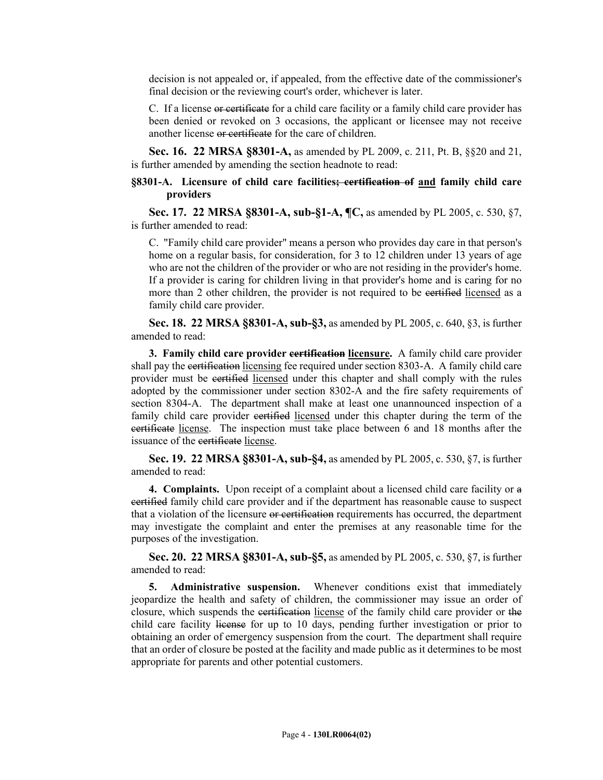decision is not appealed or, if appealed, from the effective date of the commissioner's final decision or the reviewing court's order, whichever is later.

C. If a license or certificate for a child care facility or a family child care provider has been denied or revoked on 3 occasions, the applicant or licensee may not receive another license or certificate for the care of children.

**Sec. 16. 22 MRSA §8301-A,** as amended by PL 2009, c. 211, Pt. B, §§20 and 21, is further amended by amending the section headnote to read:

#### **§8301-A. Licensure of child care facilities; certification of and family child care providers**

**Sec. 17. 22 MRSA §8301-A, sub-§1-A, ¶C,** as amended by PL 2005, c. 530, §7, is further amended to read:

C. "Family child care provider" means a person who provides day care in that person's home on a regular basis, for consideration, for 3 to 12 children under 13 years of age who are not the children of the provider or who are not residing in the provider's home. If a provider is caring for children living in that provider's home and is caring for no more than 2 other children, the provider is not required to be eertified licensed as a family child care provider.

**Sec. 18. 22 MRSA §8301-A, sub-§3,** as amended by PL 2005, c. 640, §3, is further amended to read:

**3. Family child care provider certification licensure.** A family child care provider shall pay the certification licensing fee required under section 8303-A. A family child care provider must be certified licensed under this chapter and shall comply with the rules adopted by the commissioner under section 8302-A and the fire safety requirements of section 8304-A. The department shall make at least one unannounced inspection of a family child care provider certified licensed under this chapter during the term of the certificate license. The inspection must take place between 6 and 18 months after the issuance of the eertificate license.

**Sec. 19. 22 MRSA §8301-A, sub-§4,** as amended by PL 2005, c. 530, §7, is further amended to read:

**4. Complaints.** Upon receipt of a complaint about a licensed child care facility or a certified family child care provider and if the department has reasonable cause to suspect that a violation of the licensure or certification requirements has occurred, the department may investigate the complaint and enter the premises at any reasonable time for the purposes of the investigation.

**Sec. 20. 22 MRSA §8301-A, sub-§5,** as amended by PL 2005, c. 530, §7, is further amended to read:

**5. Administrative suspension.** Whenever conditions exist that immediately jeopardize the health and safety of children, the commissioner may issue an order of closure, which suspends the certification license of the family child care provider or the child care facility license for up to 10 days, pending further investigation or prior to obtaining an order of emergency suspension from the court. The department shall require that an order of closure be posted at the facility and made public as it determines to be most appropriate for parents and other potential customers.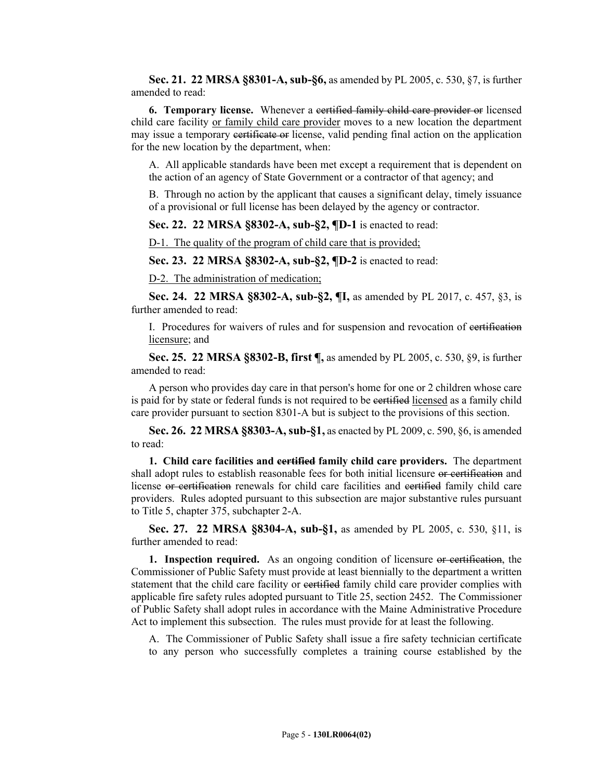**Sec. 21. 22 MRSA §8301-A, sub-§6,** as amended by PL 2005, c. 530, §7, is further amended to read:

**6. Temporary license.** Whenever a certified family child care provider or licensed child care facility or family child care provider moves to a new location the department may issue a temporary certificate or license, valid pending final action on the application for the new location by the department, when:

A. All applicable standards have been met except a requirement that is dependent on the action of an agency of State Government or a contractor of that agency; and

B. Through no action by the applicant that causes a significant delay, timely issuance of a provisional or full license has been delayed by the agency or contractor.

**Sec. 22. 22 MRSA §8302-A, sub-§2, ¶D-1** is enacted to read:

D-1. The quality of the program of child care that is provided;

**Sec. 23. 22 MRSA §8302-A, sub-§2, ¶D-2** is enacted to read:

D-2. The administration of medication;

**Sec. 24. 22 MRSA §8302-A, sub-§2, ¶I,** as amended by PL 2017, c. 457, §3, is further amended to read:

I. Procedures for waivers of rules and for suspension and revocation of certification licensure; and

**Sec. 25. 22 MRSA §8302-B, first ¶,** as amended by PL 2005, c. 530, §9, is further amended to read:

A person who provides day care in that person's home for one or 2 children whose care is paid for by state or federal funds is not required to be certified licensed as a family child care provider pursuant to section 8301-A but is subject to the provisions of this section.

**Sec. 26. 22 MRSA §8303-A, sub-§1,** as enacted by PL 2009, c. 590, §6, is amended to read:

**1. Child care facilities and certified family child care providers.** The department shall adopt rules to establish reasonable fees for both initial licensure or certification and license or certification renewals for child care facilities and certified family child care providers. Rules adopted pursuant to this subsection are major substantive rules pursuant to Title 5, chapter 375, subchapter 2-A.

**Sec. 27. 22 MRSA §8304-A, sub-§1,** as amended by PL 2005, c. 530, §11, is further amended to read:

**1. Inspection required.** As an ongoing condition of licensure or certification, the Commissioner of Public Safety must provide at least biennially to the department a written statement that the child care facility or certified family child care provider complies with applicable fire safety rules adopted pursuant to Title 25, section 2452. The Commissioner of Public Safety shall adopt rules in accordance with the Maine Administrative Procedure Act to implement this subsection. The rules must provide for at least the following.

A. The Commissioner of Public Safety shall issue a fire safety technician certificate to any person who successfully completes a training course established by the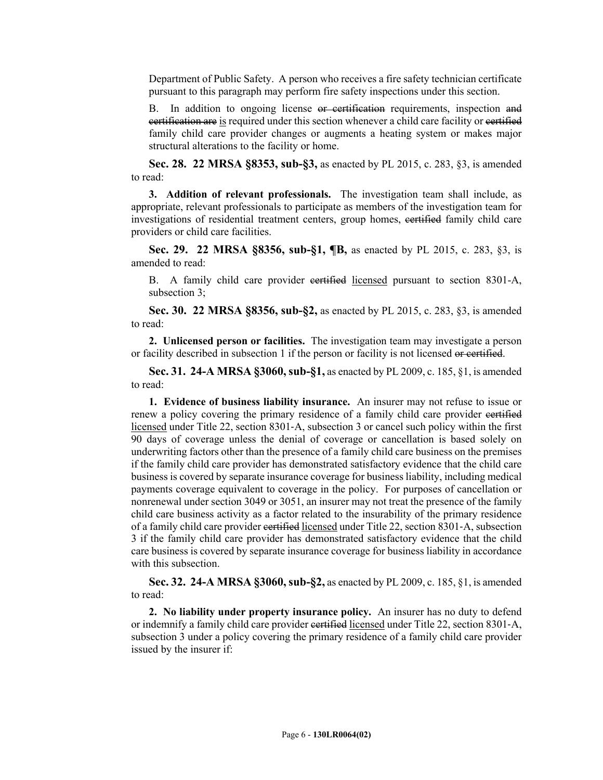Department of Public Safety. A person who receives a fire safety technician certificate pursuant to this paragraph may perform fire safety inspections under this section.

B. In addition to ongoing license or certification requirements, inspection and certification are is required under this section whenever a child care facility or certified family child care provider changes or augments a heating system or makes major structural alterations to the facility or home.

**Sec. 28. 22 MRSA §8353, sub-§3,** as enacted by PL 2015, c. 283, §3, is amended to read:

**3. Addition of relevant professionals.** The investigation team shall include, as appropriate, relevant professionals to participate as members of the investigation team for investigations of residential treatment centers, group homes, certified family child care providers or child care facilities.

**Sec. 29. 22 MRSA §8356, sub-§1, ¶B,** as enacted by PL 2015, c. 283, §3, is amended to read:

B. A family child care provider certified licensed pursuant to section 8301-A, subsection 3;

**Sec. 30. 22 MRSA §8356, sub-§2,** as enacted by PL 2015, c. 283, §3, is amended to read:

**2. Unlicensed person or facilities.** The investigation team may investigate a person or facility described in subsection 1 if the person or facility is not licensed or certified.

**Sec. 31. 24-A MRSA §3060, sub-§1,** as enacted by PL 2009, c. 185, §1, is amended to read:

**1. Evidence of business liability insurance.** An insurer may not refuse to issue or renew a policy covering the primary residence of a family child care provider eertified licensed under Title 22, section 8301‑A, subsection 3 or cancel such policy within the first 90 days of coverage unless the denial of coverage or cancellation is based solely on underwriting factors other than the presence of a family child care business on the premises if the family child care provider has demonstrated satisfactory evidence that the child care business is covered by separate insurance coverage for business liability, including medical payments coverage equivalent to coverage in the policy. For purposes of cancellation or nonrenewal under section 3049 or 3051, an insurer may not treat the presence of the family child care business activity as a factor related to the insurability of the primary residence of a family child care provider certified licensed under Title 22, section 8301‑A, subsection 3 if the family child care provider has demonstrated satisfactory evidence that the child care business is covered by separate insurance coverage for business liability in accordance with this subsection.

**Sec. 32. 24-A MRSA §3060, sub-§2,** as enacted by PL 2009, c. 185, §1, is amended to read:

**2. No liability under property insurance policy.** An insurer has no duty to defend or indemnify a family child care provider certified licensed under Title 22, section 8301-A, subsection 3 under a policy covering the primary residence of a family child care provider issued by the insurer if: